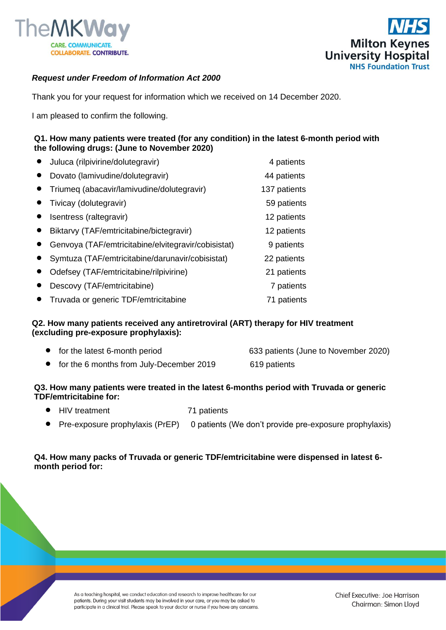



# *Request under Freedom of Information Act 2000*

Thank you for your request for information which we received on 14 December 2020.

I am pleased to confirm the following.

## **Q1. How many patients were treated (for any condition) in the latest 6-month period with the following drugs: (June to November 2020)**

| Juluca (rilpivirine/dolutegravir)                   | 4 patients   |
|-----------------------------------------------------|--------------|
| Dovato (lamivudine/dolutegravir)                    | 44 patients  |
| Triumeg (abacavir/lamivudine/dolutegravir)          | 137 patients |
| Tivicay (dolutegravir)                              | 59 patients  |
| Isentress (raltegravir)                             | 12 patients  |
| Biktarvy (TAF/emtricitabine/bictegravir)            | 12 patients  |
| Genvoya (TAF/emtricitabine/elvitegravir/cobisistat) | 9 patients   |
| Symtuza (TAF/emtricitabine/darunavir/cobisistat)    | 22 patients  |
| Odefsey (TAF/emtricitabine/rilpivirine)             | 21 patients  |
| Descovy (TAF/emtricitabine)                         | 7 patients   |
| Truvada or generic TDF/emtricitabine                | 71 patients  |

## **Q2. How many patients received any antiretroviral (ART) therapy for HIV treatment (excluding pre-exposure prophylaxis):**

| • for the latest 6-month period            | 633 patients (June to November 2020) |
|--------------------------------------------|--------------------------------------|
| • for the 6 months from July-December 2019 | 619 patients                         |

## **Q3. How many patients were treated in the latest 6-months period with Truvada or generic TDF/emtricitabine for:**

- HIV treatment 71 patients
- Pre-exposure prophylaxis (PrEP) 0 patients (We don't provide pre-exposure prophylaxis)

## **Q4. How many packs of Truvada or generic TDF/emtricitabine were dispensed in latest 6 month period for:**

As a teaching hospital, we conduct education and research to improve healthcare for our patients. During your visit students may be involved in your care, or you may be asked to participate in a clinical trial. Please speak to your doctor or nurse if you have any concerns.